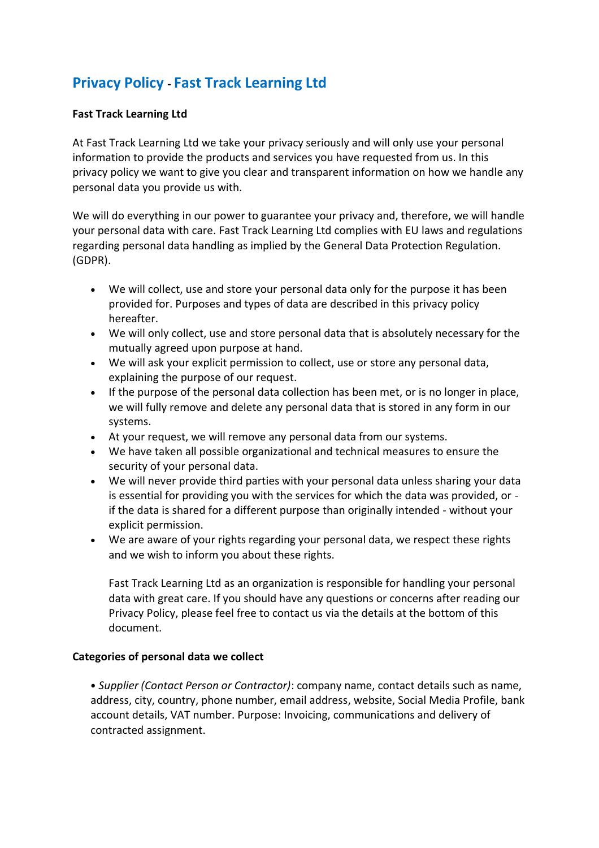# **Privacy Policy - Fast Track Learning Ltd**

## **Fast Track Learning Ltd**

At Fast Track Learning Ltd we take your privacy seriously and will only use your personal information to provide the products and services you have requested from us. In this privacy policy we want to give you clear and transparent information on how we handle any personal data you provide us with.

We will do everything in our power to guarantee your privacy and, therefore, we will handle your personal data with care. Fast Track Learning Ltd complies with EU laws and regulations regarding personal data handling as implied by the General Data Protection Regulation. (GDPR).

- We will collect, use and store your personal data only for the purpose it has been provided for. Purposes and types of data are described in this privacy policy hereafter.
- We will only collect, use and store personal data that is absolutely necessary for the mutually agreed upon purpose at hand.
- We will ask your explicit permission to collect, use or store any personal data, explaining the purpose of our request.
- If the purpose of the personal data collection has been met, or is no longer in place, we will fully remove and delete any personal data that is stored in any form in our systems.
- At your request, we will remove any personal data from our systems.
- We have taken all possible organizational and technical measures to ensure the security of your personal data.
- We will never provide third parties with your personal data unless sharing your data is essential for providing you with the services for which the data was provided, or if the data is shared for a different purpose than originally intended - without your explicit permission.
- We are aware of your rights regarding your personal data, we respect these rights and we wish to inform you about these rights.

Fast Track Learning Ltd as an organization is responsible for handling your personal data with great care. If you should have any questions or concerns after reading our Privacy Policy, please feel free to contact us via the details at the bottom of this document.

#### **Categories of personal data we collect**

• *Supplier (Contact Person or Contractor)*: company name, contact details such as name, address, city, country, phone number, email address, website, Social Media Profile, bank account details, VAT number. Purpose: Invoicing, communications and delivery of contracted assignment.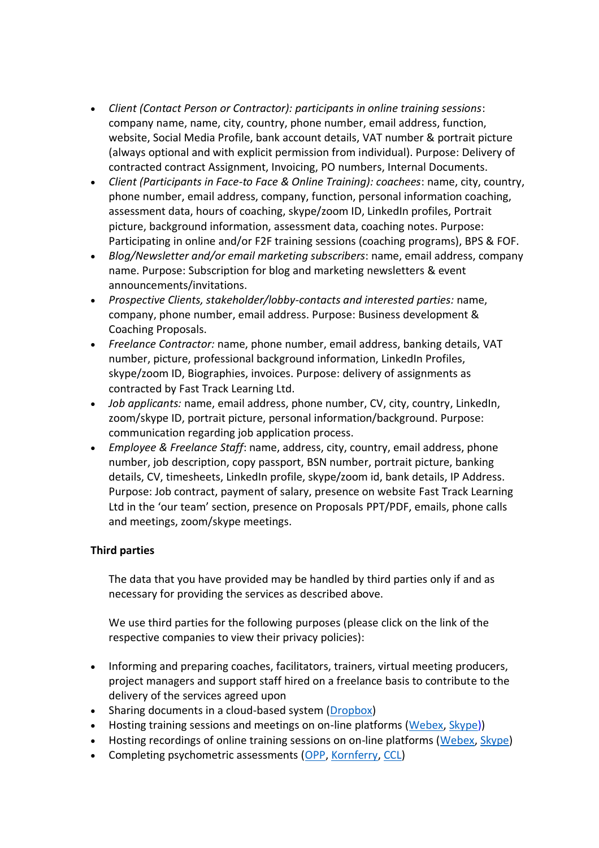- *Client (Contact Person or Contractor): participants in online training sessions*: company name, name, city, country, phone number, email address, function, website, Social Media Profile, bank account details, VAT number & portrait picture (always optional and with explicit permission from individual). Purpose: Delivery of contracted contract Assignment, Invoicing, PO numbers, Internal Documents.
- *Client (Participants in Face-to Face & Online Training): coachees*: name, city, country, phone number, email address, company, function, personal information coaching, assessment data, hours of coaching, skype/zoom ID, LinkedIn profiles, Portrait picture, background information, assessment data, coaching notes. Purpose: Participating in online and/or F2F training sessions (coaching programs), BPS & FOF.
- *Blog/Newsletter and/or email marketing subscribers*: name, email address, company name. Purpose: Subscription for blog and marketing newsletters & event announcements/invitations.
- *Prospective Clients, stakeholder/lobby-contacts and interested parties:* name, company, phone number, email address. Purpose: Business development & Coaching Proposals.
- *Freelance Contractor:* name, phone number, email address, banking details, VAT number, picture, professional background information, LinkedIn Profiles, skype/zoom ID, Biographies, invoices. Purpose: delivery of assignments as contracted by Fast Track Learning Ltd.
- *Job applicants:* name, email address, phone number, CV, city, country, LinkedIn, zoom/skype ID, portrait picture, personal information/background. Purpose: communication regarding job application process.
- *Employee & Freelance Staff*: name, address, city, country, email address, phone number, job description, copy passport, BSN number, portrait picture, banking details, CV, timesheets, LinkedIn profile, skype/zoom id, bank details, IP Address. Purpose: Job contract, payment of salary, presence on website Fast Track Learning Ltd in the 'our team' section, presence on Proposals PPT/PDF, emails, phone calls and meetings, zoom/skype meetings.

## **Third parties**

The data that you have provided may be handled by third parties only if and as necessary for providing the services as described above.

We use third parties for the following purposes (please click on the link of the respective companies to view their privacy policies):

- Informing and preparing coaches, facilitators, trainers, virtual meeting producers, project managers and support staff hired on a freelance basis to contribute to the delivery of the services agreed upon
- Sharing documents in a cloud-based system [\(Dropbox\)](https://www.dropbox.com/privacy)
- Hosting training sessions and meetings on on-line platforms [\(Webex,](https://www.cisco.com/c/en/us/about/legal/privacy-full.html) [Skype\)](https://www.microsoft.com/EN-US/privacystatement/SkypeforBusiness/Default.aspx))
- Hosting recordings of online training sessions on on-line platforms [\(Webex,](https://www.cisco.com/c/en/us/about/legal/privacy-full.html) [Skype\)](https://www.microsoft.com/EN-US/privacystatement/SkypeforBusiness/Default.aspx)
- Completing psychometric assessments [\(OPP,](https://www.opp.com/en/About-OPP/Privacy-Policy) [Kornferry,](https://www.kornferry.com/privacy/) [CCL\)](https://www.ccl.org/marketing-privacy-statement/)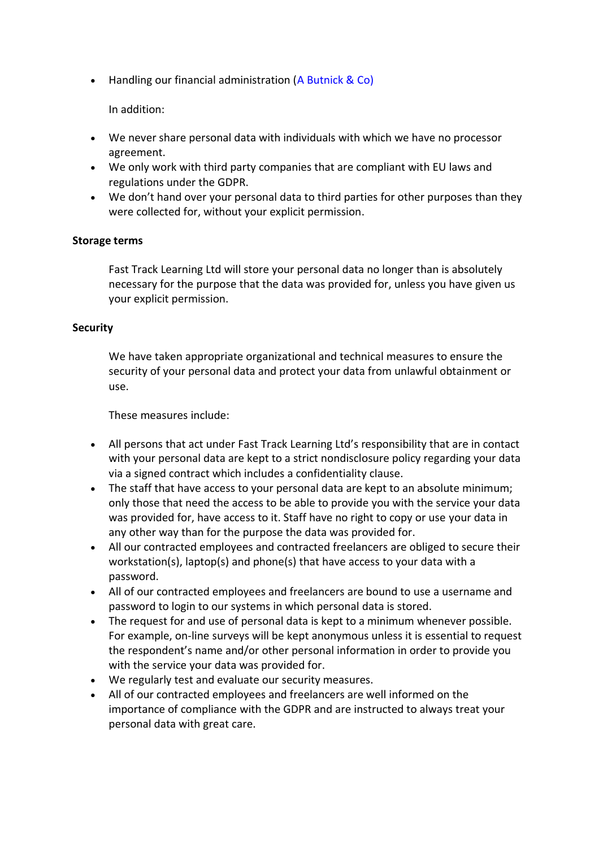• Handling our financial administration (A Butnick & Co)

In addition:

- We never share personal data with individuals with which we have no processor agreement.
- We only work with third party companies that are compliant with EU laws and regulations under the GDPR.
- We don't hand over your personal data to third parties for other purposes than they were collected for, without your explicit permission.

### **Storage terms**

Fast Track Learning Ltd will store your personal data no longer than is absolutely necessary for the purpose that the data was provided for, unless you have given us your explicit permission.

#### **Security**

We have taken appropriate organizational and technical measures to ensure the security of your personal data and protect your data from unlawful obtainment or use.

These measures include:

- All persons that act under Fast Track Learning Ltd's responsibility that are in contact with your personal data are kept to a strict nondisclosure policy regarding your data via a signed contract which includes a confidentiality clause.
- The staff that have access to your personal data are kept to an absolute minimum; only those that need the access to be able to provide you with the service your data was provided for, have access to it. Staff have no right to copy or use your data in any other way than for the purpose the data was provided for.
- All our contracted employees and contracted freelancers are obliged to secure their workstation(s), laptop(s) and phone(s) that have access to your data with a password.
- All of our contracted employees and freelancers are bound to use a username and password to login to our systems in which personal data is stored.
- The request for and use of personal data is kept to a minimum whenever possible. For example, on-line surveys will be kept anonymous unless it is essential to request the respondent's name and/or other personal information in order to provide you with the service your data was provided for.
- We regularly test and evaluate our security measures.
- All of our contracted employees and freelancers are well informed on the importance of compliance with the GDPR and are instructed to always treat your personal data with great care.